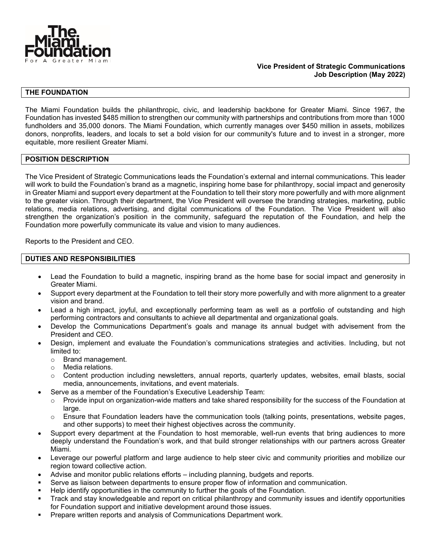

## **THE FOUNDATION**

The Miami Foundation builds the philanthropic, civic, and leadership backbone for Greater Miami. Since 1967, the Foundation has invested \$485 million to strengthen our community with partnerships and contributions from more than 1000 fundholders and 35,000 donors. The Miami Foundation, which currently manages over \$450 million in assets, mobilizes donors, nonprofits, leaders, and locals to set a bold vision for our community's future and to invest in a stronger, more equitable, more resilient Greater Miami.

### **POSITION DESCRIPTION**

The Vice President of Strategic Communications leads the Foundation's external and internal communications. This leader will work to build the Foundation's brand as a magnetic, inspiring home base for philanthropy, social impact and generosity in Greater Miami and support every department at the Foundation to tell their story more powerfully and with more alignment to the greater vision. Through their department, the Vice President will oversee the branding strategies, marketing, public relations, media relations, advertising, and digital communications of the Foundation. The Vice President will also strengthen the organization's position in the community, safeguard the reputation of the Foundation, and help the Foundation more powerfully communicate its value and vision to many audiences.

Reports to the President and CEO.

### **DUTIES AND RESPONSIBILITIES**

- Lead the Foundation to build a magnetic, inspiring brand as the home base for social impact and generosity in Greater Miami.
- Support every department at the Foundation to tell their story more powerfully and with more alignment to a greater vision and brand.
- Lead a high impact, joyful, and exceptionally performing team as well as a portfolio of outstanding and high performing contractors and consultants to achieve all departmental and organizational goals.
- Develop the Communications Department's goals and manage its annual budget with advisement from the President and CEO.
- Design, implement and evaluate the Foundation's communications strategies and activities. Including, but not limited to:
	- $\circ$  Brand management.<br>  $\circ$  Media relations.
	- Media relations.
	- o Content production including newsletters, annual reports, quarterly updates, websites, email blasts, social media, announcements, invitations, and event materials.
- Serve as a member of the Foundation's Executive Leadership Team:
	- $\circ$  Provide input on organization-wide matters and take shared responsibility for the success of the Foundation at large.
	- o Ensure that Foundation leaders have the communication tools (talking points, presentations, website pages, and other supports) to meet their highest objectives across the community.
- Support every department at the Foundation to host memorable, well-run events that bring audiences to more deeply understand the Foundation's work, and that build stronger relationships with our partners across Greater Miami.
- Leverage our powerful platform and large audience to help steer civic and community priorities and mobilize our region toward collective action.
- Advise and monitor public relations efforts including planning, budgets and reports.
- Serve as liaison between departments to ensure proper flow of information and communication.
- Help identify opportunities in the community to further the goals of the Foundation.
- Track and stay knowledgeable and report on critical philanthropy and community issues and identify opportunities for Foundation support and initiative development around those issues.
- Prepare written reports and analysis of Communications Department work.